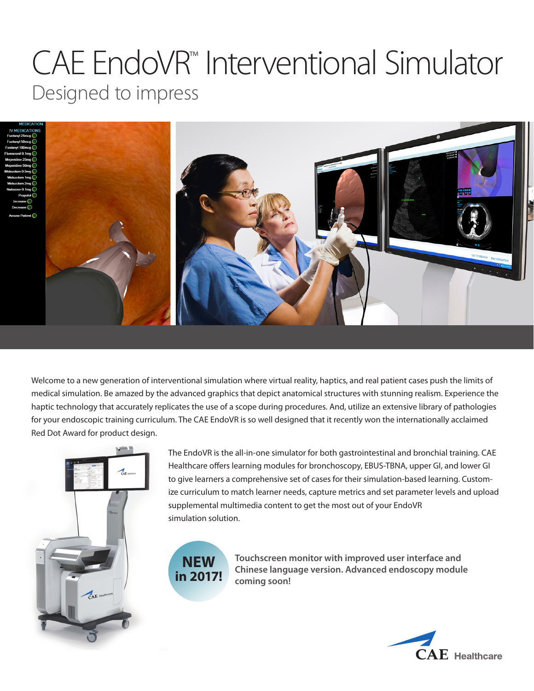# CAE EndoVR™ Interventional Simulator Designed to impress





Welcome to a new generation of interventional simulation where virtual reality, haptics, and real patient cases push the limits of medical simulation. Be amazed by the advanced graphics that depict anatomical structures with stunning realism. Experience the haptic technology that accurately replicates the use of a scope during procedures. And, utilize an extensive library of pathologies for your endoscopic training curriculum. The CAE EndoVR is so well designed that it recently won the internationally acclaimed Red Dot Award for product design.



The EndoVR is the all-in-one simulator for both gastrointestinal and bronchial training. CAE Healthcare offers learning modules for bronchoscopy, EBUS-TBNA, upper GI, and lower GI to give learners a comprehensive set of cases for their simulation-based learning. Customize curriculum to match learner needs, capture metrics and set parameter levels and upload supplemental multimedia content to get the most out of your EndoVR simulation solution.



**Touchscreen monitor with improved user interface and Chinese language version. Advanced endoscopy module coming soon!**